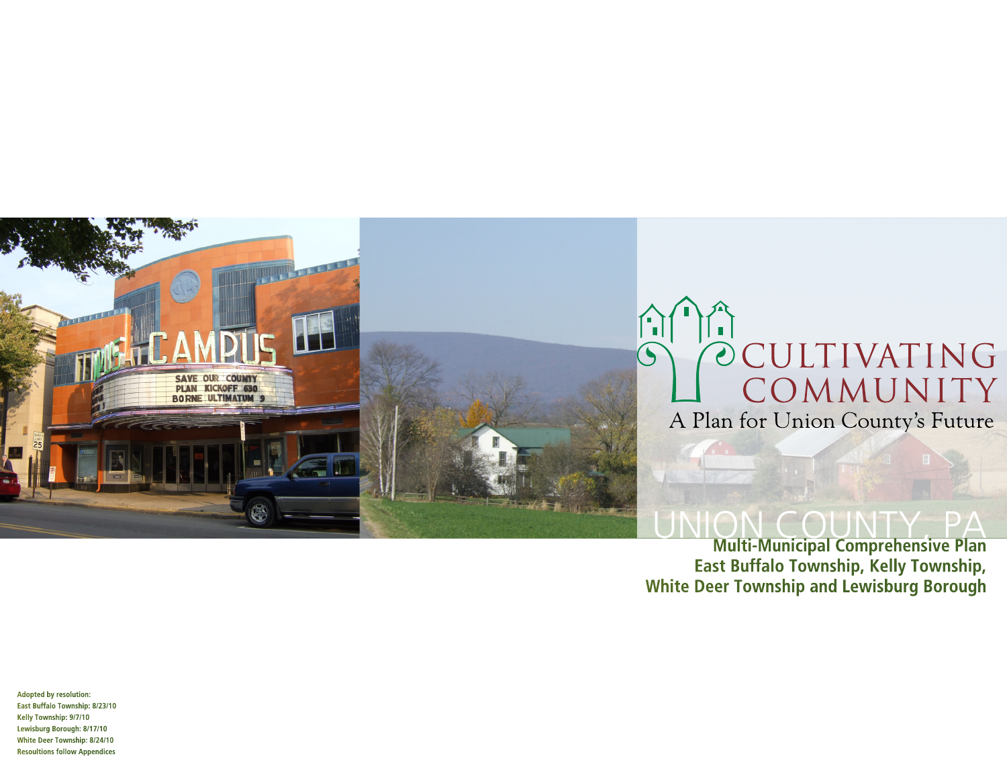

**Multi-Municipal Comprehensive Plan East Buffalo Township, Kelly Township, White Deer Township and Lewisburg Borough**

**Adopted by resolution: East Buffalo Township: 8/23/10 Kelly Township: 9/7/10 Lewisburg Borough: 8/17/10 White Deer Township: 8/24/10 Resoultions follow Appendices**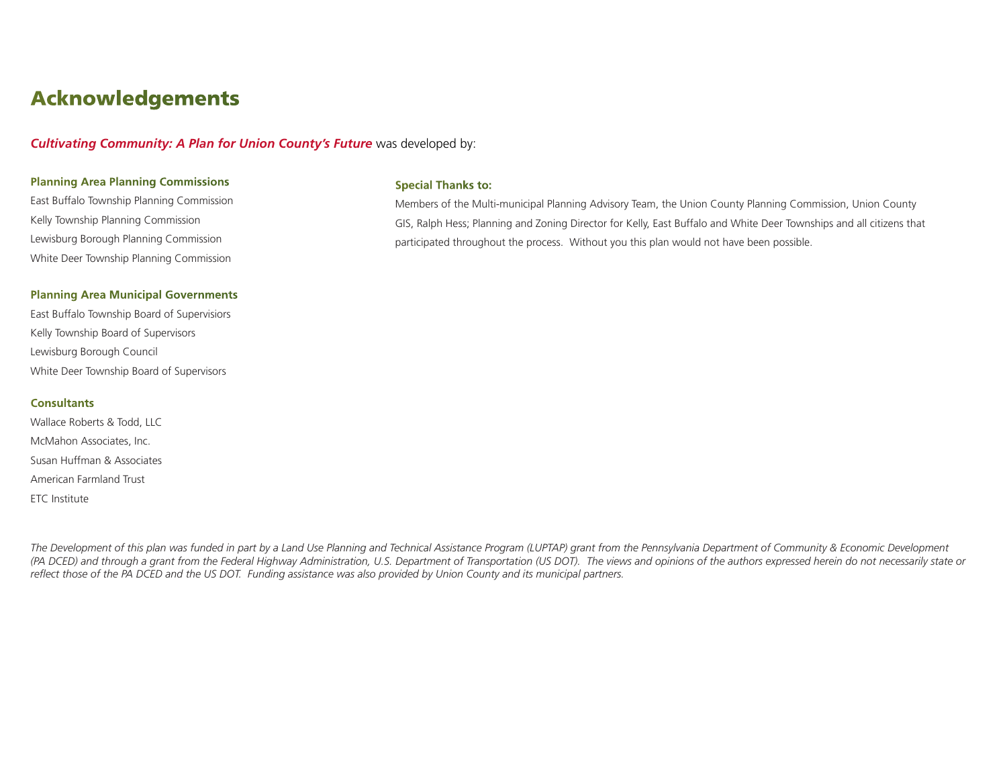## Acknowledgements

*Cultivating Community: A Plan for Union County's Future* was developed by:

#### **Planning Area Planning Commissions**

East Buffalo Township Planning Commission Kelly Township Planning Commission Lewisburg Borough Planning Commission White Deer Township Planning Commission

#### **Planning Area Municipal Governments**

East Buffalo Township Board of Supervisiors Kelly Township Board of Supervisors Lewisburg Borough Council White Deer Township Board of Supervisors

#### **Consultants**

Wallace Roberts & Todd, LLC McMahon Associates, Inc. Susan Huffman & Associates American Farmland Trust ETC Institute

#### **Special Thanks to:**

Members of the Multi-municipal Planning Advisory Team, the Union County Planning Commission, Union County GIS, Ralph Hess; Planning and Zoning Director for Kelly, East Buffalo and White Deer Townships and all citizens that participated throughout the process. Without you this plan would not have been possible.

The Development of this plan was funded in part by a Land Use Planning and Technical Assistance Program (LUPTAP) grant from the Pennsylvania Department of Community & Economic Development *(PA DCED) and through a grant from the Federal Highway Administration, U.S. Department of Transportation (US DOT). The views and opinions of the authors expressed herein do not necessarily state or reflect those of the PA DCED and the US DOT. Funding assistance was also provided by Union County and its municipal partners.*